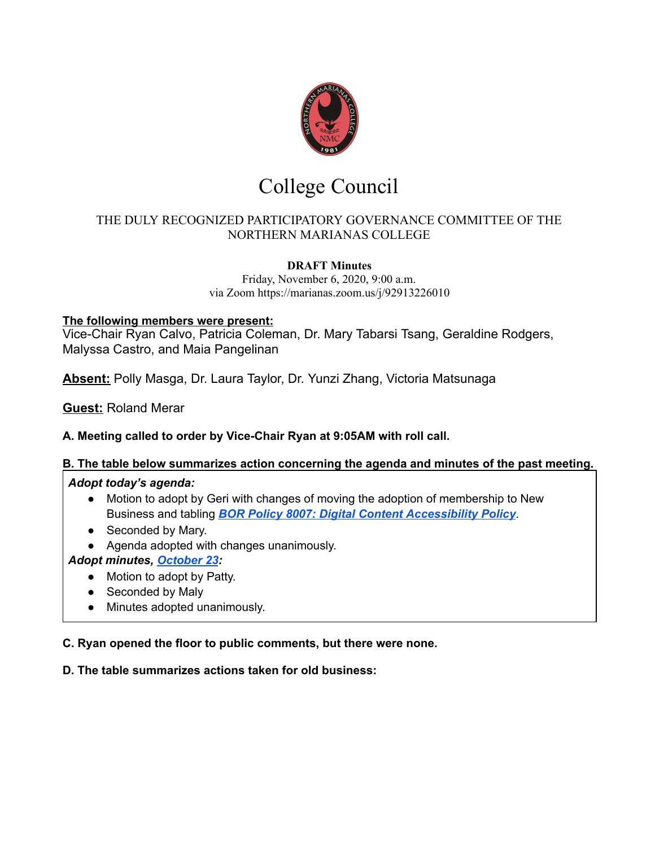

# College Council

# THE DULY RECOGNIZED PARTICIPATORY GOVERNANCE COMMITTEE OF THE NORTHERN MARIANAS COLLEGE

## **DRAFT Minutes**

Friday, November 6, 2020, 9:00 a.m. via Zoom https://marianas.zoom.us/j/92913226010

## **The following members were present:**

Vice-Chair Ryan Calvo, Patricia Coleman, Dr. Mary Tabarsi Tsang, Geraldine Rodgers, Malyssa Castro, and Maia Pangelinan

**Absent:** Polly Masga, Dr. Laura Taylor, Dr. Yunzi Zhang, Victoria Matsunaga

**Guest:** Roland Merar

## **A. Meeting called to order by Vice-Chair Ryan at 9:05AM with roll call.**

## **B. The table below summarizes action concerning the agenda and minutes of the past meeting.**

## *Adopt today's agenda:*

- Motion to adopt by Geri with changes of moving the adoption of membership to New Business and tabling *BOR Policy 8007: Digital Content [Accessibility](https://drive.google.com/file/d/1LxUmEXcqxd6LaMbZP2GrcyUk3L2e3wNp/view?usp=sharing) Policy*.
- Seconded by Mary.
- Agenda adopted with changes unanimously.
- *Adopt minutes, [October](https://docs.google.com/document/d/1aH-EcDX9l-P-Um9MNyKc59BC-m_9KrdCq2wDvQxd0Z4/edit?usp=sharing) 23:*
	- Motion to adopt by Patty.
	- Seconded by Maly
	- Minutes adopted unanimously.

## **C. Ryan opened the floor to public comments, but there were none.**

## **D. The table summarizes actions taken for old business:**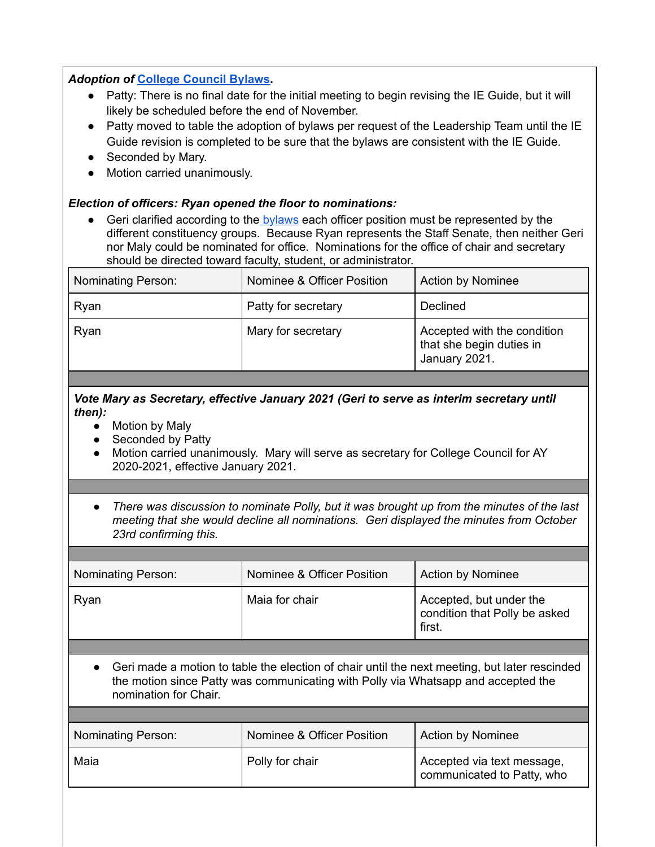### *Adoption of* **College [Council](https://docs.google.com/document/d/1bKGR0ocIxrNgaJWHYtoQc7MZlIDWL20OOysow3u1ctU/edit#) Bylaws.**

- Patty: There is no final date for the initial meeting to begin revising the IE Guide, but it will likely be scheduled before the end of November.
- Patty moved to table the adoption of bylaws per request of the Leadership Team until the IE Guide revision is completed to be sure that the bylaws are consistent with the IE Guide.
- Seconded by Mary.
- Motion carried unanimously.

## *Election of officers: Ryan opened the floor to nominations:*

● Geri clarified according to the [bylaws](https://docs.google.com/document/d/1VkFvpN0I3SahavvkV9e2YB99D_KQsU-ERag0VnWBwDg/edit) each officer position must be represented by the different constituency groups. Because Ryan represents the Staff Senate, then neither Geri nor Maly could be nominated for office. Nominations for the office of chair and secretary should be directed toward faculty, student, or administrator.

| <b>Nominating Person:</b> | Nominee & Officer Position | <b>Action by Nominee</b>                                                 |
|---------------------------|----------------------------|--------------------------------------------------------------------------|
| Ryan                      | Patty for secretary        | Declined                                                                 |
| Ryan                      | Mary for secretary         | Accepted with the condition<br>that she begin duties in<br>January 2021. |

#### *Vote Mary as Secretary, effective January 2021 (Geri to serve as interim secretary until then):*

- Motion by Maly
- Seconded by Patty
- Motion carried unanimously. Mary will serve as secretary for College Council for AY 2020-2021, effective January 2021.
- *● There was discussion to nominate Polly, but it was brought up from the minutes of the last meeting that she would decline all nominations. Geri displayed the minutes from October 23rd confirming this.*

| <b>Nominating Person:</b> | Nominee & Officer Position | <b>Action by Nominee</b>                                           |
|---------------------------|----------------------------|--------------------------------------------------------------------|
| Ryan                      | Maia for chair             | Accepted, but under the<br>condition that Polly be asked<br>first. |

● Geri made a motion to table the election of chair until the next meeting, but later rescinded the motion since Patty was communicating with Polly via Whatsapp and accepted the nomination for Chair.

| <b>Nominating Person:</b> | Nominee & Officer Position | <b>Action by Nominee</b>                                 |
|---------------------------|----------------------------|----------------------------------------------------------|
| Maia                      | Polly for chair            | Accepted via text message,<br>communicated to Patty, who |